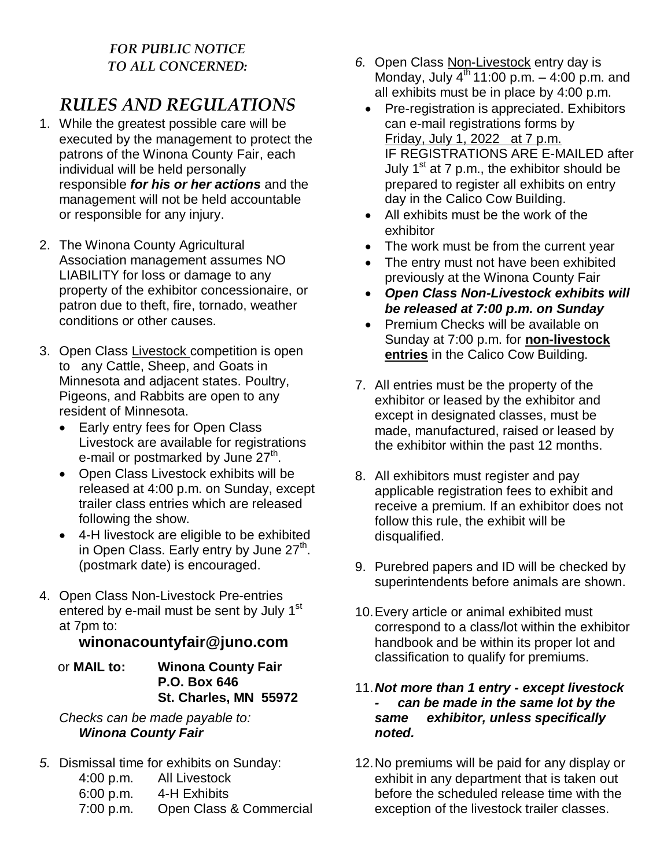## *FOR PUBLIC NOTICE TO ALL CONCERNED:*

# *RULES AND REGULATIONS*

- 1. While the greatest possible care will be executed by the management to protect the patrons of the Winona County Fair, each individual will be held personally responsible *for his or her actions* and the management will not be held accountable or responsible for any injury.
- 2. The Winona County Agricultural Association management assumes NO LIABILITY for loss or damage to any property of the exhibitor concessionaire, or patron due to theft, fire, tornado, weather conditions or other causes.
- 3. Open Class Livestock competition is open to any Cattle, Sheep, and Goats in Minnesota and adjacent states. Poultry, Pigeons, and Rabbits are open to any resident of Minnesota.
	- Early entry fees for Open Class Livestock are available for registrations e-mail or postmarked by June  $27<sup>th</sup>$ .
	- Open Class Livestock exhibits will be released at 4:00 p.m. on Sunday, except trailer class entries which are released following the show.
	- 4-H livestock are eligible to be exhibited in Open Class. Early entry by June 27<sup>th</sup>. (postmark date) is encouraged.
- 4. Open Class Non-Livestock Pre-entries entered by e-mail must be sent by July 1<sup>st</sup> at 7pm to:

### **winonacountyfair@juno.com**

 or **MAIL to: Winona County Fair P.O. Box 646 St. Charles, MN 55972**

*Checks can be made payable to: Winona County Fair*

- *5.* Dismissal time for exhibits on Sunday:
	- 4:00 p.m. All Livestock
	- 6:00 p.m. 4-H Exhibits
	- 7:00 p.m. Open Class & Commercial
- *6.* Open Class Non-Livestock entry day is Monday, July  $4^{th}$  11:00 p.m.  $-$  4:00 p.m. and all exhibits must be in place by 4:00 p.m.
	- Pre-registration is appreciated. Exhibitors can e-mail registrations forms by Friday, July 1, 2022 at 7 p.m. IF REGISTRATIONS ARE E-MAILED after July 1<sup>st</sup> at 7 p.m., the exhibitor should be prepared to register all exhibits on entry day in the Calico Cow Building.
	- All exhibits must be the work of the exhibitor
	- The work must be from the current year
	- The entry must not have been exhibited previously at the Winona County Fair
	- *Open Class Non-Livestock exhibits will be released at 7:00 p.m. on Sunday*
	- Premium Checks will be available on Sunday at 7:00 p.m. for **non-livestock entries** in the Calico Cow Building.
- 7. All entries must be the property of the exhibitor or leased by the exhibitor and except in designated classes, must be made, manufactured, raised or leased by the exhibitor within the past 12 months.
- 8. All exhibitors must register and pay applicable registration fees to exhibit and receive a premium. If an exhibitor does not follow this rule, the exhibit will be disqualified.
- 9. Purebred papers and ID will be checked by superintendents before animals are shown.
- 10.Every article or animal exhibited must correspond to a class/lot within the exhibitor handbook and be within its proper lot and classification to qualify for premiums.

#### 11.*Not more than 1 entry - except livestock - can be made in the same lot by the same exhibitor, unless specifically noted.*

12.No premiums will be paid for any display or exhibit in any department that is taken out before the scheduled release time with the exception of the livestock trailer classes.